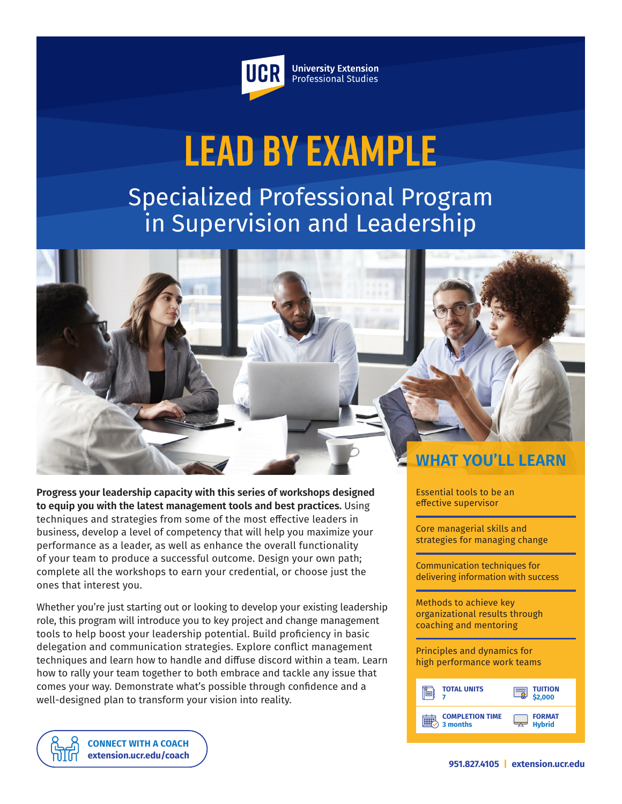

**University Extension** Professional Studies

# **Lead By Example**

Specialized Professional Program in Supervision and Leadership

**WHAT YOU'LL LEARN**

**Progress your leadership capacity with this series of workshops designed to equip you with the latest management tools and best practices.** Using techniques and strategies from some of the most effective leaders in business, develop a level of competency that will help you maximize your performance as a leader, as well as enhance the overall functionality of your team to produce a successful outcome. Design your own path; complete all the workshops to earn your credential, or choose just the ones that interest you.

Whether you're just starting out or looking to develop your existing leadership role, this program will introduce you to key project and change management tools to help boost your leadership potential. Build proficiency in basic delegation and communication strategies. Explore conflict management techniques and learn how to handle and diffuse discord within a team. Learn how to rally your team together to both embrace and tackle any issue that comes your way. Demonstrate what's possible through confidence and a well-designed plan to transform your vision into reality.

Essential tools to be an effective supervisor

Core managerial skills and strategies for managing change

Communication techniques for delivering information with success

Methods to achieve key organizational results through coaching and mentoring

Principles and dynamics for high performance work teams

| <b>TOTAL UNITS</b>     | <b>TUITION<br/>\$2,000</b> |
|------------------------|----------------------------|
| <b>COMPLETION TIME</b> | <b>FORMAT</b>              |
| 3 months               | <b>Hybrid</b>              |

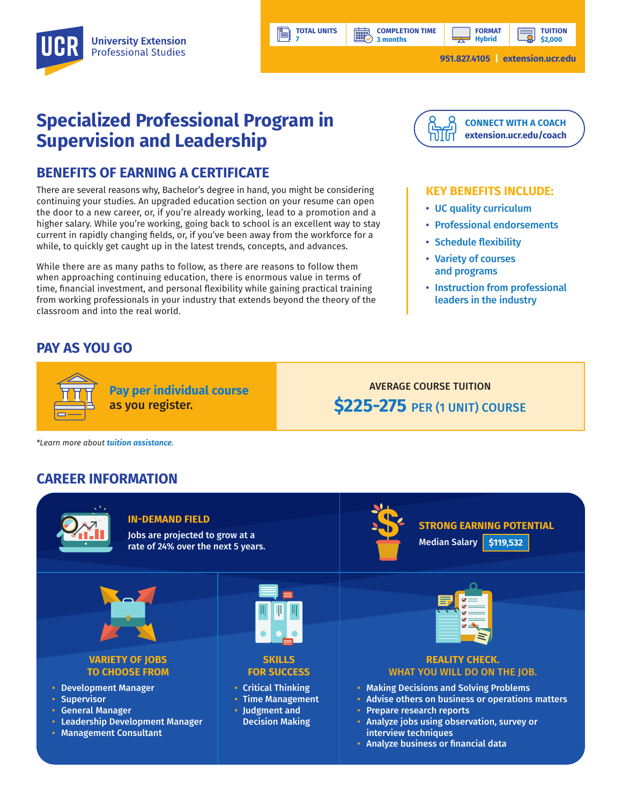**3 months**

讓

**TUITION \$2,000**

# **Specialized Professional Program in Supervision and Leadership**

### **BENEFITS OF EARNING A CERTIFICATE**

There are several reasons why, Bachelor's degree in hand, you might be considering continuing your studies. An upgraded education section on your resume can open the door to a new career, or, if you're already working, lead to a promotion and a higher salary. While you're working, going back to school is an excellent way to stay current in rapidly changing fields, or, if you've been away from the workforce for a while, to quickly get caught up in the latest trends, concepts, and advances.

While there are as many paths to follow, as there are reasons to follow them when approaching continuing education, there is enormous value in terms of time, financial investment, and personal flexibility while gaining practical training from working professionals in your industry that extends beyond the theory of the classroom and into the real world.

**Pay per individual course**

as you register.

## **PAY AS YOU GO**



**FORMAT Hybrid**

#### **KEY BENEFITS INCLUDE:**

- UC quality curriculum
- Professional endorsements
- Schedule flexibility
- Variety of courses and programs
- Instruction from professional leaders in the industry

AVERAGE COURSE TUITION **\$225-275 PER (1 UNIT) COURSE** 

*\*Learn more about tuition assistance.*

## **CAREER INFORMATION**



**TOTAL UNITS 7** 

ľ۸